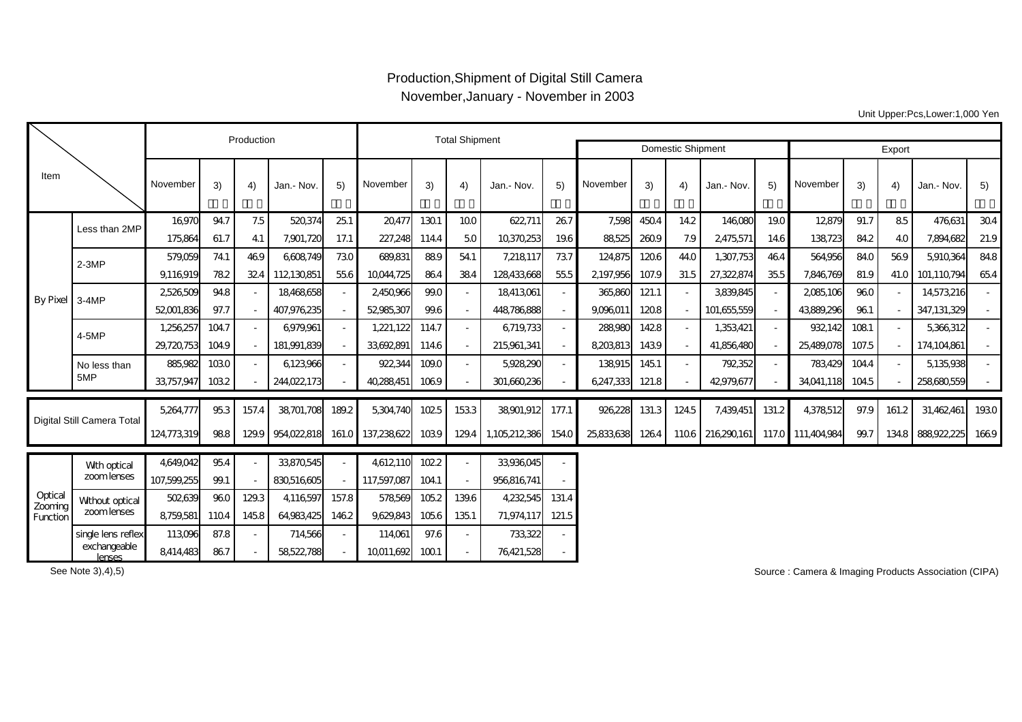## Production,Shipment of Digital Still Camera November,January - November in 2003

Unit Upper:Pcs,Lower:1,000 Yen

|                                |                            |             | Production |                          |             | <b>Total Shipment</b> |             |       |       |               |       |            |       |                          |             |        |                   |       |       |             |      |
|--------------------------------|----------------------------|-------------|------------|--------------------------|-------------|-----------------------|-------------|-------|-------|---------------|-------|------------|-------|--------------------------|-------------|--------|-------------------|-------|-------|-------------|------|
|                                |                            |             |            |                          |             |                       |             |       |       |               |       |            |       | <b>Domestic Shipment</b> |             | Export |                   |       |       |             |      |
| Item                           |                            | November    | 3)         | 4)                       | Jan.- Nov.  | 5)                    | November    | 3)    | 4)    | Jan.- Nov.    | 5)    | November   | 3)    | 4)                       | Jan.- Nov.  | 5)     | November          | 3)    | 4)    | Jan.- Nov.  | 5)   |
| By Pixel 3-4MP                 | Less than 2MP              | 16,970      | 94.7       | 7.5                      | 520,374     | 251                   | 20,477      | 1301  | 100   | 622,711       | 267   | 7,598      | 4504  | 14.2                     | 146,080     | 19.0   | 12879             | 91.7  | 85    | 476,631     | 304  |
|                                |                            | 175,864     | 61.7       | 41                       | 7,901,720   | 17.1                  | 227,248     | 114.4 | 50    | 10370253      | 19.6  | 88,525     | 2609  | 7.9                      | 2,475,571   | 14.6   | 138,723           | 84.2  | 40    | 7,894,682   | 21.9 |
|                                | $2-3MP$                    | 579,059     | 74.1       | 469                      | 6,608,749   | 730                   | 689,831     | 889   | 54.1  | 7,218,117     | 737   | 124,875    | 1206  | 44.O                     | 1,307,753   | 464    | 564,956           | 84.0  | 569   | 5,910,364   | 84.8 |
|                                |                            | 9,116,919   | 782        | 324                      | 112130851   | 55.6                  | 10044.725   | 864   | 384   | 128433,668    | 55.5  | 2197.956   | 107.9 | 31.5                     | 27,322,874  | 355    | 7,846,769         | 81.9  | 41.O  | 101.110.794 | 654  |
|                                |                            | 2526509     | 94.8       |                          | 18,468,658  | $\sim$                | 2450,966    | 99.0  |       | 18413,061     |       | 365,860    | 121.1 |                          | 3,839,845   |        | 2085,106          | 960   |       | 14,573,216  |      |
|                                |                            | 52,001,836  | 97.7       | $\overline{\phantom{a}}$ | 407,976,235 |                       | 52985,307   | 99.6  |       | 448786888     |       | 9,096,011  | 1208  |                          | 101,655,559 |        | 43,889,296        | 961   |       | 347,131,329 |      |
|                                | 4-5MP                      | 1,256,257   | 104.7      |                          | 6,979,961   | $\sim$                | 1,221,122   | 114.7 |       | 6,719,733     |       | 288,980    | 1428  |                          | 1,353,421   |        | 932,142           | 1081  |       | 5,366,312   |      |
|                                |                            | 29,720,753  | 104.9      |                          | 181,991,839 | $\sim$                | 33,692,891  | 114.6 |       | 215,961,341   |       | 8,203,813  | 1439  |                          | 41,856,480  |        | 25,489,078        | 107.5 |       | 174,104,861 |      |
|                                | No less than<br>5MP        | 885,982     | 1030       |                          | 6123,966    | $\sim$                | 922,344     | 109.0 |       | 5,928,290     |       | 138915     | 1451  |                          | 792352      |        | 783,429           | 104.4 |       | 5,135,938   |      |
|                                |                            | 33,757,947  | 1032       |                          | 244,022,173 |                       | 40,288,451  | 1069  |       | 301,660,236   |       | 6,247,333  | 121.8 |                          | 42979,677   |        | 34,041,118        | 104.5 |       | 258680559   |      |
| Digital Still Camera Total     |                            | 5,264,777   | 953        | 157.4                    | 38,701,708  | 189.2                 | 5,304,740   | 1025  | 1533  | 38901,912     | 177.1 | 926,228    | 131.3 | 1245                     | 7,439,451   | 131.2  | 4,378,512         | 97.9  | 161.2 | 31,462,461  | 1930 |
|                                |                            | 124,773,319 | 988        | 129.9                    | 954,022,818 | 161.0                 | 137,238,622 | 1039  | 129.4 | 1,105,212,386 | 154.0 | 25,833,638 | 1264  | 1106                     | 216290161   |        | 117.0 111,404,984 | 99.7  | 134.8 | 888,922,225 | 1669 |
|                                |                            | 4,649,042   | 95.4       |                          | 33,870,545  |                       | 4,612,110   | 1022  |       | 33,936,045    |       |            |       |                          |             |        |                   |       |       |             |      |
|                                | Wth optical<br>zoom lenses | 107,599,255 | 99.1       |                          | 830,516,605 |                       | 117,597,087 | 104.1 |       | 956816741     |       |            |       |                          |             |        |                   |       |       |             |      |
| Optical<br>Zooming<br>Function | Without optical            | 502639      | 960        | 129.3                    | 4,116,597   | 157.8                 | 578,569     | 105.2 | 139.6 | 4,232,545     | 131.4 |            |       |                          |             |        |                   |       |       |             |      |
|                                | zoom lenses                | 8,759,581   | 1104       | 1458                     | 64,983,425  | 1462                  | 9,629,843   | 1056  | 1351  | 71,974,117    | 121.5 |            |       |                          |             |        |                   |       |       |             |      |
|                                | single lens reflex         | 113,096     | 87.8       |                          | 714,566     |                       | 114,061     | 97.6  |       | 733,322       |       |            |       |                          |             |        |                   |       |       |             |      |
|                                | exchangeable<br>lenses     | 8,414,483   | 867        |                          | 58522788    |                       | 10011,692   | 1001  |       | 76,421,528    |       |            |       |                          |             |        |                   |       |       |             |      |

See Note 3), 4), 5)

Source : Camera & Imaging Products Association (CIPA)